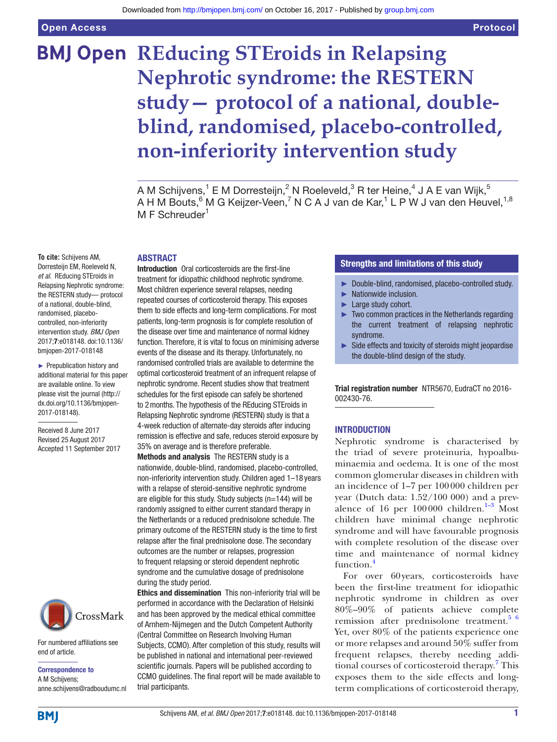# **BMJ Open REducing STEroids in Relapsing Nephrotic syndrome: the RESTERN study— protocol of a national, doubleblind, randomised, placebo-controlled, non-inferiority intervention study**

A M Schijvens, $^1$  E M Dorresteijn, $^2$  N Roeleveld, $^3$  R ter Heine, $^4$  J A E van Wijk, $^5$ A H M Bouts, $^6$  M G Keijzer-Veen, $^7$  N C A J van de Kar, $^1$  L P W J van den Heuvel, $^{1,8}$ M F Schreuder<sup>1</sup>

# **ABSTRACT**

**To cite:** Schijvens AM, Dorresteijn EM, Roeleveld N, *et al*. REducing STEroids in Relapsing Nephrotic syndrome: the RESTERN study— protocol of a national, double-blind, randomised, placebocontrolled, non-inferiority intervention study. *BMJ Open* 2017;7:e018148. doi:10.1136/ bmjopen-2017-018148

► Prepublication history and additional material for this paper are available online. To view please visit the journal ([http://](http://dx.doi.org/10.1136/bmjopen-2017-018148) [dx.doi.org/10.1136/bmjopen-](http://dx.doi.org/10.1136/bmjopen-2017-018148)[2017-018148\)](http://dx.doi.org/10.1136/bmjopen-2017-018148).

Received 8 June 2017 Revised 25 August 2017 Accepted 11 September 2017



For numbered affiliations see end of article.

Correspondence to A M Schijvens; anne.schijvens@radboudumc.nl

Introduction Oral corticosteroids are the first-line treatment for idiopathic childhood nephrotic syndrome. Most children experience several relapses, needing repeated courses of corticosteroid therapy. This exposes them to side effects and long-term complications. For most patients, long-term prognosis is for complete resolution of the disease over time and maintenance of normal kidney function. Therefore, it is vital to focus on minimising adverse events of the disease and its therapy. Unfortunately, no randomised controlled trials are available to determine the optimal corticosteroid treatment of an infrequent relapse of nephrotic syndrome. Recent studies show that treatment schedules for the first episode can safely be shortened to 2months. The hypothesis of the REducing STEroids in Relapsing Nephrotic syndrome (RESTERN) study is that a 4-week reduction of alternate-day steroids after inducing remission is effective and safe, reduces steroid exposure by 35% on average and is therefore preferable.

Methods and analysis The RESTERN study is a nationwide, double-blind, randomised, placebo-controlled, non-inferiority intervention study. Children aged 1–18 years with a relapse of steroid-sensitive nephrotic syndrome are eligible for this study. Study subjects (n=144) will be randomly assigned to either current standard therapy in the Netherlands or a reduced prednisolone schedule. The primary outcome of the RESTERN study is the time to first relapse after the final prednisolone dose. The secondary outcomes are the number or relapses, progression to frequent relapsing or steroid dependent nephrotic syndrome and the cumulative dosage of prednisolone during the study period.

Ethics and dissemination This non-inferiority trial will be performed in accordance with the Declaration of Helsinki and has been approved by the medical ethical committee of Arnhem-Nijmegen and the Dutch Competent Authority (Central Committee on Research Involving Human Subjects, CCMO). After completion of this study, results will be published in national and international peer-reviewed scientific journals. Papers will be published according to CCMO guidelines. The final report will be made available to trial participants.

# Strengths and limitations of this study

- ► Double-blind, randomised, placebo-controlled study.
- ► Nationwide inclusion.
- ► Large study cohort.
- $\blacktriangleright$  Two common practices in the Netherlands regarding the current treatment of relapsing nephrotic syndrome.
- ► Side effects and toxicity of steroids might jeopardise the double-blind design of the study.

Trial registration number NTR5670, EudraCT no 2016- 002430-76.

# **INTRODUCTION**

Nephrotic syndrome is characterised by the triad of severe proteinuria, hypoalbuminaemia and oedema. It is one of the most common glomerular diseases in children with an incidence of 1–7 per 100000 children per year (Dutch data: 1.52/100 000) and a prevalence of 16 per 100000 children. $1-3$  Most children have minimal change nephrotic syndrome and will have favourable prognosis with complete resolution of the disease over time and maintenance of normal kidney function.<sup>[4](#page-6-1)</sup>

For over 60years, corticosteroids have been the first-line treatment for idiopathic nephrotic syndrome in children as over 80%–90% of patients achieve complete remission after prednisolone treatment.<sup>[5 6](#page-6-2)</sup> Yet, over 80% of the patients experience one or more relapses and around 50% suffer from frequent relapses, thereby needing additional courses of corticosteroid therapy.[7](#page-6-3) This exposes them to the side effects and longterm complications of corticosteroid therapy,

**BMI**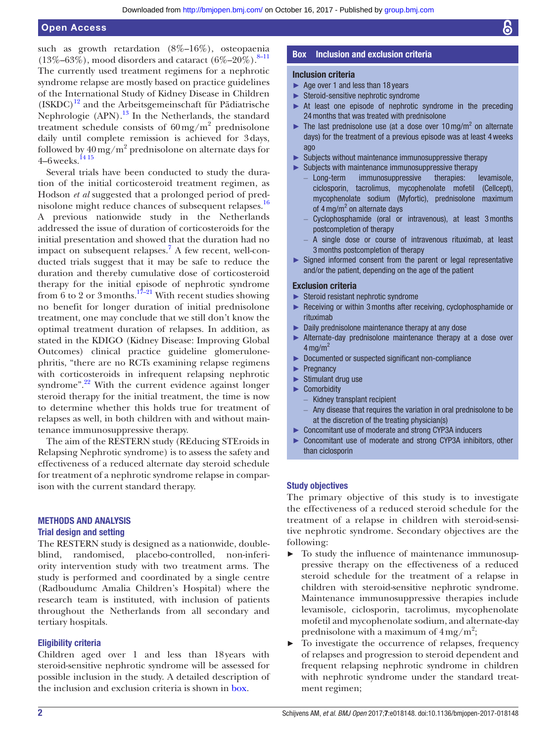such as growth retardation (8%–16%), osteopaenia  $(13\%–63\%)$ , mood disorders and cataract  $(6\%–20\%)$ .<sup>[8–11](#page-6-4)</sup> The currently used treatment regimens for a nephrotic syndrome relapse are mostly based on practice guidelines of the International Study of Kidney Disease in Children  $(ISKDC)^{12}$  and the Arbeitsgemeinschaft für Pädiatrische Nephrologie  $(APN)$ .<sup>13</sup> In the Netherlands, the standard treatment schedule consists of  $60 \,\mathrm{mg/m^2}$  prednisolone daily until complete remission is achieved for 3days, followed by  $40 \,\mathrm{mg/m^2}$  prednisolone on alternate days for  $4 - 6$  weeks.<sup>[14 15](#page-6-7)</sup>

Several trials have been conducted to study the duration of the initial corticosteroid treatment regimen, as Hodson *et al* suggested that a prolonged period of prednisolone might reduce chances of subsequent relapses.<sup>16</sup> A previous nationwide study in the Netherlands addressed the issue of duration of corticosteroids for the initial presentation and showed that the duration had no impact on subsequent relapses.<sup>[7](#page-6-3)</sup> A few recent, well-conducted trials suggest that it may be safe to reduce the duration and thereby cumulative dose of corticosteroid therapy for the initial episode of nephrotic syndrome from 6 to 2 or 3 months.<sup>[17–21](#page-6-9)</sup> With recent studies showing no benefit for longer duration of initial prednisolone treatment, one may conclude that we still don't know the optimal treatment duration of relapses. In addition, as stated in the KDIGO (Kidney Disease: Improving Global Outcomes) clinical practice guideline glomerulonephritis, "there are no RCTs examining relapse regimens with corticosteroids in infrequent relapsing nephrotic syndrome".<sup>22</sup> With the current evidence against longer steroid therapy for the initial treatment, the time is now to determine whether this holds true for treatment of relapses as well, in both children with and without maintenance immunosuppressive therapy.

The aim of the RESTERN study (REducing STEroids in Relapsing Nephrotic syndrome) is to assess the safety and effectiveness of a reduced alternate day steroid schedule for treatment of a nephrotic syndrome relapse in comparison with the current standard therapy.

# Methods and analysis Trial design and setting

The RESTERN study is designed as a nationwide, doubleblind, randomised, placebo-controlled, non-inferiority intervention study with two treatment arms. The study is performed and coordinated by a single centre (Radboudumc Amalia Children's Hospital) where the research team is instituted, with inclusion of patients throughout the Netherlands from all secondary and tertiary hospitals.

#### Eligibility criteria

Children aged over 1 and less than 18years with steroid-sensitive nephrotic syndrome will be assessed for possible inclusion in the study. A detailed description of the inclusion and exclusion criteria is shown in [box.](#page-1-0)

### Box Inclusion and exclusion criteria

# <span id="page-1-0"></span>Inclusion criteria

- ► Age over 1 and less than 18 years
- ► Steroid-sensitive nephrotic syndrome
- ► At least one episode of nephrotic syndrome in the preceding 24months that was treated with prednisolone
- $\blacktriangleright$  The last prednisolone use (at a dose over 10 mg/m<sup>2</sup> on alternate days) for the treatment of a previous episode was at least 4weeks ago
- ► Subjects without maintenance immunosuppressive therapy
- $\blacktriangleright$  Subjects with maintenance immunosuppressive therapy
	- Long-term immunosuppressive therapies: levamisole, ciclosporin, tacrolimus, mycophenolate mofetil (Cellcept), mycophenolate sodium (Myfortic), prednisolone maximum of 4 mg/m<sup>2</sup> on alternate days
	- Cyclophosphamide (oral or intravenous), at least 3months postcompletion of therapy
	- A single dose or course of intravenous rituximab, at least 3months postcompletion of therapy
- ► Signed informed consent from the parent or legal representative and/or the patient, depending on the age of the patient

#### Exclusion criteria

- Steroid resistant nephrotic syndrome
- ► Receiving or within 3 months after receiving, cyclophosphamide or rituximab
- ► Daily prednisolone maintenance therapy at any dose
- ► Alternate-day prednisolone maintenance therapy at a dose over  $4$  mg/m<sup>2</sup>
- ► Documented or suspected significant non-compliance
- ► Pregnancy
	- ► Stimulant drug use
	- ► Comorbidity
		- Kidney transplant recipient
		- Any disease that requires the variation in oral prednisolone to be at the discretion of the treating physician(s)
	- ► Concomitant use of moderate and strong CYP3A inducers
	- ► Concomitant use of moderate and strong CYP3A inhibitors, other than ciclosporin

#### Study objectives

The primary objective of this study is to investigate the effectiveness of a reduced steroid schedule for the treatment of a relapse in children with steroid-sensitive nephrotic syndrome. Secondary objectives are the following:

- To study the influence of maintenance immunosuppressive therapy on the effectiveness of a reduced steroid schedule for the treatment of a relapse in children with steroid-sensitive nephrotic syndrome. Maintenance immunosuppressive therapies include levamisole, ciclosporin, tacrolimus, mycophenolate mofetil and mycophenolate sodium, and alternate-day prednisolone with a maximum of  $4 \,\mathrm{mg/m^2}$ ;
- To investigate the occurrence of relapses, frequency of relapses and progression to steroid dependent and frequent relapsing nephrotic syndrome in children with nephrotic syndrome under the standard treatment regimen;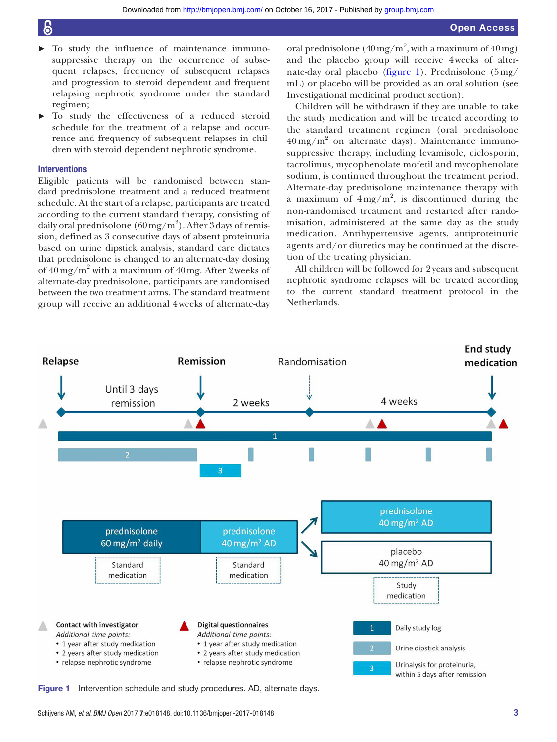- To study the influence of maintenance immunosuppressive therapy on the occurrence of subsequent relapses, frequency of subsequent relapses and progression to steroid dependent and frequent relapsing nephrotic syndrome under the standard regimen;
- To study the effectiveness of a reduced steroid schedule for the treatment of a relapse and occurrence and frequency of subsequent relapses in children with steroid dependent nephrotic syndrome.

# **Interventions**

Eligible patients will be randomised between standard prednisolone treatment and a reduced treatment schedule. At the start of a relapse, participants are treated according to the current standard therapy, consisting of daily oral prednisolone  $(60 \,\mathrm{mg/m^2})$ . After 3 days of remission, defined as 3 consecutive days of absent proteinuria based on urine dipstick analysis, standard care dictates that prednisolone is changed to an alternate-day dosing of  $40 \,\mathrm{mg/m^2}$  with a maximum of  $40 \,\mathrm{mg}$ . After 2 weeks of alternate-day prednisolone, participants are randomised between the two treatment arms. The standard treatment group will receive an additional 4weeks of alternate-day

oral prednisolone  $(40 \,\text{mg/m}^2, \text{with a maximum of } 40 \,\text{mg})$ and the placebo group will receive 4weeks of alternate-day oral placebo [\(figure](#page-2-0) 1). Prednisolone (5mg/ mL) or placebo will be provided as an oral solution (see Investigational medicinal product section).

Children will be withdrawn if they are unable to take the study medication and will be treated according to the standard treatment regimen (oral prednisolone  $40 \,\text{mg/m}^2$  on alternate days). Maintenance immunosuppressive therapy, including levamisole, ciclosporin, tacrolimus, mycophenolate mofetil and mycophenolate sodium, is continued throughout the treatment period. Alternate-day prednisolone maintenance therapy with a maximum of  $4 \text{ mg/m}^2$ , is discontinued during the non-randomised treatment and restarted after randomisation, administered at the same day as the study medication. Antihypertensive agents, antiproteinuric agents and/or diuretics may be continued at the discretion of the treating physician.

All children will be followed for 2years and subsequent nephrotic syndrome relapses will be treated according to the current standard treatment protocol in the Netherlands.



<span id="page-2-0"></span>Figure 1 Intervention schedule and study procedures. AD, alternate days.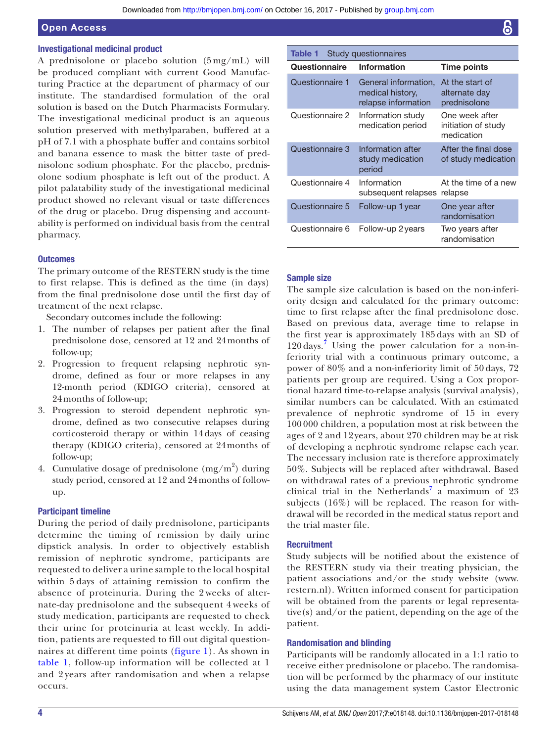### Open Access

#### Investigational medicinal product

A prednisolone or placebo solution (5 mg/mL) will be produced compliant with current Good Manufacturing Practice at the department of pharmacy of our institute. The standardised formulation of the oral solution is based on the Dutch Pharmacists Formulary. The investigational medicinal product is an aqueous solution preserved with methylparaben, buffered at a pH of 7.1 with a phosphate buffer and contains sorbitol and banana essence to mask the bitter taste of prednisolone sodium phosphate. For the placebo, prednisolone sodium phosphate is left out of the product. A pilot palatability study of the investigational medicinal product showed no relevant visual or taste differences of the drug or placebo. Drug dispensing and accountability is performed on individual basis from the central pharmacy.

#### **Outcomes**

The primary outcome of the RESTERN study is the time to first relapse. This is defined as the time (in days) from the final prednisolone dose until the first day of treatment of the next relapse.

Secondary outcomes include the following:

- 1. The number of relapses per patient after the final prednisolone dose, censored at 12 and 24months of follow-up;
- 2. Progression to frequent relapsing nephrotic syndrome, defined as four or more relapses in any 12-month period (KDIGO criteria), censored at 24months of follow-up;
- 3. Progression to steroid dependent nephrotic syndrome, defined as two consecutive relapses during corticosteroid therapy or within 14days of ceasing therapy (KDIGO criteria), censored at 24months of follow-up;
- 4. Cumulative dosage of prednisolone  $(mg/m^2)$  during study period, censored at 12 and 24months of followup.

#### Participant timeline

During the period of daily prednisolone, participants determine the timing of remission by daily urine dipstick analysis. In order to objectively establish remission of nephrotic syndrome, participants are requested to deliver a urine sample to the local hospital within 5 days of attaining remission to confirm the absence of proteinuria. During the 2 weeks of alternate-day prednisolone and the subsequent 4 weeks of study medication, participants are requested to check their urine for proteinuria at least weekly. In addition, patients are requested to fill out digital questionnaires at different time points ([figure](#page-2-0) 1). As shown in [table](#page-3-0) 1, follow-up information will be collected at 1 and 2 years after randomisation and when a relapse occurs.

<span id="page-3-0"></span>

| Study questionnaires<br>Table 1 |                                                                 |                                                     |  |
|---------------------------------|-----------------------------------------------------------------|-----------------------------------------------------|--|
| Questionnaire                   | <b>Information</b>                                              | Time points                                         |  |
| Questionnaire 1                 | General information,<br>medical history,<br>relapse information | At the start of<br>alternate day<br>prednisolone    |  |
| Questionnaire 2                 | Information study<br>medication period                          | One week after<br>initiation of study<br>medication |  |
| Questionnaire 3                 | Information after<br>study medication<br>period                 | After the final dose<br>of study medication         |  |
| Questionnaire 4                 | Information<br>subsequent relapses                              | At the time of a new<br>relapse                     |  |
| Questionnaire 5                 | Follow-up 1 year                                                | One year after<br>randomisation                     |  |
| Questionnaire 6                 | Follow-up 2 years                                               | Two years after<br>randomisation                    |  |

#### Sample size

The sample size calculation is based on the non-inferiority design and calculated for the primary outcome: time to first relapse after the final prednisolone dose. Based on previous data, average time to relapse in the first year is approximately 185 days with an SD of  $120 \text{ days.}^7$  $120 \text{ days.}^7$  Using the power calculation for a non-inferiority trial with a continuous primary outcome, a power of 80% and a non-inferiority limit of 50 days, 72 patients per group are required. Using a Cox proportional hazard time-to-relapse analysis (survival analysis), similar numbers can be calculated. With an estimated prevalence of nephrotic syndrome of 15 in every 100 000 children, a population most at risk between the ages of 2 and 12 years, about 270 children may be at risk of developing a nephrotic syndrome relapse each year. The necessary inclusion rate is therefore approximately 50%. Subjects will be replaced after withdrawal. Based on withdrawal rates of a previous nephrotic syndrome clinical trial in the Netherlands<sup>[7](#page-6-3)</sup> a maximum of 23 subjects (16%) will be replaced. The reason for withdrawal will be recorded in the medical status report and the trial master file.

#### **Recruitment**

Study subjects will be notified about the existence of the RESTERN study via their treating physician, the patient associations and/or the study website [\(www.](www.restern.nl) [restern.nl\)](www.restern.nl). Written informed consent for participation will be obtained from the parents or legal representative(s) and/or the patient, depending on the age of the patient.

#### Randomisation and blinding

Participants will be randomly allocated in a 1:1 ratio to receive either prednisolone or placebo. The randomisation will be performed by the pharmacy of our institute using the data management system Castor Electronic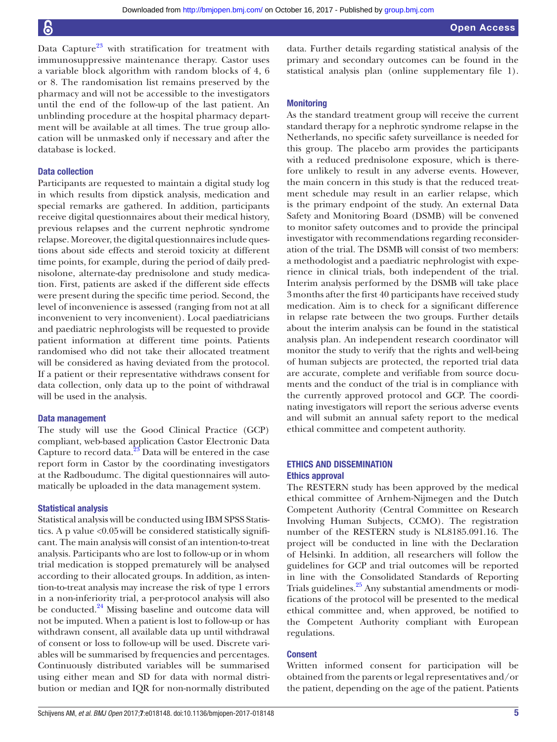Data Capture $^{23}$  $^{23}$  $^{23}$  with stratification for treatment with immunosuppressive maintenance therapy. Castor uses a variable block algorithm with random blocks of 4, 6 or 8. The randomisation list remains preserved by the pharmacy and will not be accessible to the investigators until the end of the follow-up of the last patient. An unblinding procedure at the hospital pharmacy department will be available at all times. The true group allocation will be unmasked only if necessary and after the database is locked.

# Data collection

Participants are requested to maintain a digital study log in which results from dipstick analysis, medication and special remarks are gathered. In addition, participants receive digital questionnaires about their medical history, previous relapses and the current nephrotic syndrome relapse. Moreover, the digital questionnaires include questions about side effects and steroid toxicity at different time points, for example, during the period of daily prednisolone, alternate-day prednisolone and study medication. First, patients are asked if the different side effects were present during the specific time period. Second, the level of inconvenience is assessed (ranging from not at all inconvenient to very inconvenient). Local paediatricians and paediatric nephrologists will be requested to provide patient information at different time points. Patients randomised who did not take their allocated treatment will be considered as having deviated from the protocol. If a patient or their representative withdraws consent for data collection, only data up to the point of withdrawal will be used in the analysis.

# Data management

The study will use the Good Clinical Practice (GCP) compliant, web-based application Castor Electronic Data Capture to record data.<sup>23</sup> Data will be entered in the case report form in Castor by the coordinating investigators at the Radboudumc. The digital questionnaires will automatically be uploaded in the data management system.

# Statistical analysis

Statistical analysis will be conducted using IBM SPSS Statistics. A p value <0.05will be considered statistically significant. The main analysis will consist of an intention-to-treat analysis. Participants who are lost to follow-up or in whom trial medication is stopped prematurely will be analysed according to their allocated groups. In addition, as intention-to-treat analysis may increase the risk of type 1 errors in a non-inferiority trial, a per-protocol analysis will also be conducted.<sup>24</sup> Missing baseline and outcome data will not be imputed. When a patient is lost to follow-up or has withdrawn consent, all available data up until withdrawal of consent or loss to follow-up will be used. Discrete variables will be summarised by frequencies and percentages. Continuously distributed variables will be summarised using either mean and SD for data with normal distribution or median and IQR for non-normally distributed

data. Further details regarding statistical analysis of the primary and secondary outcomes can be found in the statistical analysis plan (online [supplementary file 1\)](https://dx.doi.org/10.1136/bmjopen-2017-018148).

# **Monitoring**

As the standard treatment group will receive the current standard therapy for a nephrotic syndrome relapse in the Netherlands, no specific safety surveillance is needed for this group. The placebo arm provides the participants with a reduced prednisolone exposure, which is therefore unlikely to result in any adverse events. However, the main concern in this study is that the reduced treatment schedule may result in an earlier relapse, which is the primary endpoint of the study. An external Data Safety and Monitoring Board (DSMB) will be convened to monitor safety outcomes and to provide the principal investigator with recommendations regarding reconsideration of the trial. The DSMB will consist of two members: a methodologist and a paediatric nephrologist with experience in clinical trials, both independent of the trial. Interim analysis performed by the DSMB will take place 3months after the first 40 participants have received study medication. Aim is to check for a significant difference in relapse rate between the two groups. Further details about the interim analysis can be found in the statistical analysis plan. An independent research coordinator will monitor the study to verify that the rights and well-being of human subjects are protected, the reported trial data are accurate, complete and verifiable from source documents and the conduct of the trial is in compliance with the currently approved protocol and GCP. The coordinating investigators will report the serious adverse events and will submit an annual safety report to the medical ethical committee and competent authority.

# Ethics and dissemination Ethics approval

The RESTERN study has been approved by the medical ethical committee of Arnhem-Nijmegen and the Dutch Competent Authority (Central Committee on Research Involving Human Subjects, CCMO). The registration number of the RESTERN study is NL8185.091.16. The project will be conducted in line with the Declaration of Helsinki. In addition, all researchers will follow the guidelines for GCP and trial outcomes will be reported in line with the Consolidated Standards of Reporting Trials guidelines.[25](#page-6-13) Any substantial amendments or modifications of the protocol will be presented to the medical ethical committee and, when approved, be notified to the Competent Authority compliant with European regulations.

# Consent

Written informed consent for participation will be obtained from the parents or legal representatives and/or the patient, depending on the age of the patient. Patients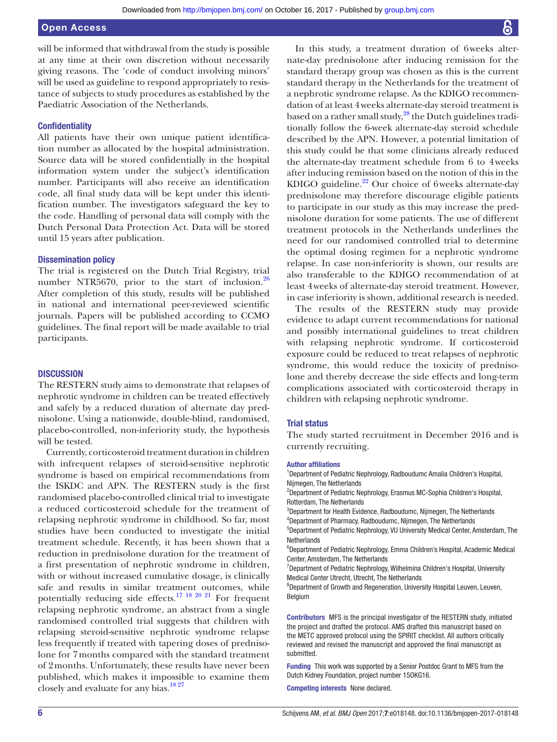# Open Access

will be informed that withdrawal from the study is possible at any time at their own discretion without necessarily giving reasons. The 'code of conduct involving minors' will be used as guideline to respond appropriately to resistance of subjects to study procedures as established by the Paediatric Association of the Netherlands.

#### **Confidentiality**

All patients have their own unique patient identification number as allocated by the hospital administration. Source data will be stored confidentially in the hospital information system under the subject's identification number. Participants will also receive an identification code, all final study data will be kept under this identification number. The investigators safeguard the key to the code. Handling of personal data will comply with the Dutch Personal Data Protection Act. Data will be stored until 15 years after publication.

#### Dissemination policy

The trial is registered on the Dutch Trial Registry, trial number NTR5670, prior to the start of inclusion. $26$ After completion of this study, results will be published in national and international peer-reviewed scientific journals. Papers will be published according to CCMO guidelines. The final report will be made available to trial participants.

#### **DISCUSSION**

The RESTERN study aims to demonstrate that relapses of nephrotic syndrome in children can be treated effectively and safely by a reduced duration of alternate day prednisolone. Using a nationwide, double-blind, randomised, placebo-controlled, non-inferiority study, the hypothesis will be tested.

Currently, corticosteroid treatment duration in children with infrequent relapses of steroid-sensitive nephrotic syndrome is based on empirical recommendations from the ISKDC and APN. The RESTERN study is the first randomised placebo-controlled clinical trial to investigate a reduced corticosteroid schedule for the treatment of relapsing nephrotic syndrome in childhood. So far, most studies have been conducted to investigate the initial treatment schedule. Recently, it has been shown that a reduction in prednisolone duration for the treatment of a first presentation of nephrotic syndrome in children, with or without increased cumulative dosage, is clinically safe and results in similar treatment outcomes, while potentially reducing side effects.<sup>17</sup> <sup>18 20</sup> <sup>21</sup> For frequent relapsing nephrotic syndrome, an abstract from a single randomised controlled trial suggests that children with relapsing steroid-sensitive nephrotic syndrome relapse less frequently if treated with tapering doses of prednisolone for 7months compared with the standard treatment of 2months. Unfortunately, these results have never been published, which makes it impossible to examine them closely and evaluate for any bias.<sup>18 27</sup>

In this study, a treatment duration of 6weeks alternate-day prednisolone after inducing remission for the standard therapy group was chosen as this is the current standard therapy in the Netherlands for the treatment of a nephrotic syndrome relapse. As the KDIGO recommendation of at least 4weeks alternate-day steroid treatment is based on a rather small study, $^{28}$  $^{28}$  $^{28}$  the Dutch guidelines traditionally follow the 6-week alternate-day steroid schedule described by the APN. However, a potential limitation of this study could be that some clinicians already reduced the alternate-day treatment schedule from 6 to 4weeks after inducing remission based on the notion of this in the KDIGO guideline.<sup>22</sup> Our choice of 6weeks alternate-day prednisolone may therefore discourage eligible patients to participate in our study as this may increase the prednisolone duration for some patients. The use of different treatment protocols in the Netherlands underlines the need for our randomised controlled trial to determine the optimal dosing regimen for a nephrotic syndrome relapse. In case non-inferiority is shown, our results are also transferable to the KDIGO recommendation of at least 4weeks of alternate-day steroid treatment. However, in case inferiority is shown, additional research is needed.

The results of the RESTERN study may provide evidence to adapt current recommendations for national and possibly international guidelines to treat children with relapsing nephrotic syndrome. If corticosteroid exposure could be reduced to treat relapses of nephrotic syndrome, this would reduce the toxicity of prednisolone and thereby decrease the side effects and long-term complications associated with corticosteroid therapy in children with relapsing nephrotic syndrome.

## Trial status

The study started recruitment in December 2016 and is currently recruiting.

#### Author affiliations

<sup>1</sup>Department of Pediatric Nephrology, Radboudumc Amalia Children's Hospital, Nijmegen, The Netherlands

<sup>2</sup>Department of Pediatric Nephrology, Erasmus MC-Sophia Children's Hospital, Rotterdam, The Netherlands

3 Department for Health Evidence, Radboudumc, Nijmegen, The Netherlands 4 Department of Pharmacy, Radboudumc, Nijmegen, The Netherlands

5 Department of Pediatric Nephrology, VU University Medical Center, Amsterdam, The **Netherlands** 

<sup>6</sup>Department of Pediatric Nephrology, Emma Children's Hospital, Academic Medical Center, Amsterdam, The Netherlands

<sup>7</sup>Department of Pediatric Nephrology, Wilhelmina Children's Hospital, University Medical Center Utrecht, Utrecht, The Netherlands

8 Department of Growth and Regeneration, University Hospital Leuven, Leuven, Belgium

Contributors MFS is the principal investigator of the RESTERN study, initiated the project and drafted the protocol. AMS drafted this manuscript based on the METC approved protocol using the SPIRIT checklist. All authors critically reviewed and revised the manuscript and approved the final manuscript as submitted.

Funding This work was supported by a Senior Postdoc Grant to MFS from the Dutch Kidney Foundation, project number 15OKG16.

Competing interests None declared.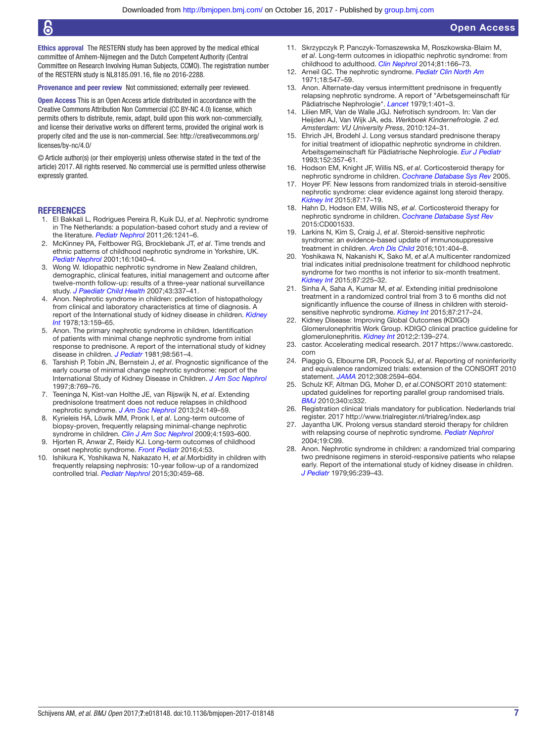Ethics approval The RESTERN study has been approved by the medical ethical committee of Arnhem-Nijmegen and the Dutch Competent Authority (Central Committee on Research Involving Human Subjects, CCMO). The registration number of the RESTERN study is NL8185.091.16, file no 2016-2288.

Provenance and peer review Not commissioned; externally peer reviewed.

Open Access This is an Open Access article distributed in accordance with the Creative Commons Attribution Non Commercial (CC BY-NC 4.0) license, which permits others to distribute, remix, adapt, build upon this work non-commercially, and license their derivative works on different terms, provided the original work is properly cited and the use is non-commercial. See: [http://creativecommons.org/](http://creativecommons.org/licenses/by-nc/4.0/) [licenses/by-nc/4.0/](http://creativecommons.org/licenses/by-nc/4.0/)

© Article author(s) (or their employer(s) unless otherwise stated in the text of the article) 2017. All rights reserved. No commercial use is permitted unless otherwise expressly granted.

# **REFERENCES**

- <span id="page-6-0"></span>1. El Bakkali L, Rodrigues Pereira R, Kuik DJ, *et al*. Nephrotic syndrome in The Netherlands: a population-based cohort study and a review of the literature. *[Pediatr Nephrol](http://dx.doi.org/10.1007/s00467-011-1851-8)* 2011;26:1241–6.
- 2. McKinney PA, Feltbower RG, Brocklebank JT, *et al*. Time trends and ethnic patterns of childhood nephrotic syndrome in Yorkshire, UK. *[Pediatr Nephrol](http://dx.doi.org/10.1007/s004670100021)* 2001;16:1040–4.
- 3. Wong W. Idiopathic nephrotic syndrome in New Zealand children, demographic, clinical features, initial management and outcome after twelve-month follow-up: results of a three-year national surveillance study. *[J Paediatr Child Health](http://dx.doi.org/10.1111/j.1440-1754.2007.01077.x)* 2007;43:337–41.
- <span id="page-6-1"></span>4. Anon. Nephrotic syndrome in children: prediction of histopathology from clinical and laboratory characteristics at time of diagnosis. A report of the International study of kidney disease in children. *Kidney Int* 1978;13:159–65.
- <span id="page-6-2"></span>5. Anon. The primary nephrotic syndrome in children. Identification of patients with minimal change nephrotic syndrome from initial response to prednisone. A report of the international study of kidney disease in children. *J Pediatr* 1981;98:561–4.
- 6. Tarshish P, Tobin JN, Bernstein J, *et al*. Prognostic significance of the early course of minimal change nephrotic syndrome: report of the International Study of Kidney Disease in Children. *J Am Soc Nephrol* 1997;8:769–76.
- <span id="page-6-3"></span>7. Teeninga N, Kist-van Holthe JE, van Rijswijk N, *et al*. Extending prednisolone treatment does not reduce relapses in childhood nephrotic syndrome. *[J Am Soc Nephrol](http://dx.doi.org/10.1681/ASN.2012070646)* 2013;24:149–59.
- <span id="page-6-4"></span>8. Kyrieleis HA, Löwik MM, Pronk I, *et al*. Long-term outcome of biopsy-proven, frequently relapsing minimal-change nephrotic syndrome in children. *[Clin J Am Soc Nephrol](http://dx.doi.org/10.2215/CJN.05691108)* 2009;4:1593–600.
- 9. Hjorten R, Anwar Z, Reidy KJ. Long-term outcomes of childhood onset nephrotic syndrome. *[Front Pediatr](http://dx.doi.org/10.3389/fped.2016.00053)* 2016;4:53.
- 10. Ishikura K, Yoshikawa N, Nakazato H, *et al*.Morbidity in children with frequently relapsing nephrosis: 10-year follow-up of a randomized controlled trial. *[Pediatr Nephrol](http://dx.doi.org/10.1007/s00467-014-2955-8)* 2015;30:459–68.
- 11. Skrzypczyk P, Panczyk-Tomaszewska M, Roszkowska-Blaim M, *et al*. Long-term outcomes in idiopathic nephrotic syndrome: from childhood to adulthood. *[Clin Nephrol](http://dx.doi.org/10.5414/CN108044)* 2014;81:166–73.
- <span id="page-6-5"></span>12. Arneil GC. The nephrotic syndrome. *[Pediatr Clin North Am](http://dx.doi.org/10.1016/S0031-3955(16)32565-2)* 1971;18:547–59.
- <span id="page-6-6"></span>13. Anon. Alternate-day versus intermittent prednisone in frequently relapsing nephrotic syndrome. A report of "Arbetsgemeinschaft für Pädiatrische Nephrologie". *Lancet* 1979;1:401–3.
- <span id="page-6-7"></span>14. Lilien MR, Van de Walle JGJ. Nefrotisch syndroom. In: Van der Heijden AJ, Van Wijk JA, eds. *Werkboek Kindernefrologie. 2 ed. Amsterdam: VU University Press*, 2010:124–31.
- 15. Ehrich JH, Brodehl J. Long versus standard prednisone therapy for initial treatment of idiopathic nephrotic syndrome in children. Arbeitsgemeinschaft für Pädiatrische Nephrologie. *Eur J Pediatr* 1993;152:357–61.
- <span id="page-6-8"></span>16. Hodson EM, Knight JF, Willis NS, *et al*. Corticosteroid therapy for nephrotic syndrome in children. *Cochrane Database Sys Rev* 2005.
- <span id="page-6-9"></span>17. Hoyer PF. New lessons from randomized trials in steroid-sensitive nephrotic syndrome: clear evidence against long steroid therapy. *[Kidney Int](http://dx.doi.org/10.1038/ki.2014.354)* 2015;87:17–19.
- <span id="page-6-15"></span>18. Hahn D, Hodson EM, Willis NS, *et al*. Corticosteroid therapy for nephrotic syndrome in children. *[Cochrane Database Syst Rev](http://dx.doi.org/10.1002/14651858.CD001533.pub5)* 2015:CD001533.
- 19. Larkins N, Kim S, Craig J, *et al*. Steroid-sensitive nephrotic syndrome: an evidence-based update of immunosuppressive treatment in children. *[Arch Dis Child](http://dx.doi.org/10.1136/archdischild-2015-308924)* 2016;101:404–8.
- 20. Yoshikawa N, Nakanishi K, Sako M, *et al*.A multicenter randomized trial indicates initial prednisolone treatment for childhood nephrotic syndrome for two months is not inferior to six-month treatment. *[Kidney Int](http://dx.doi.org/10.1038/ki.2014.260)* 2015;87:225–32.
- 21. Sinha A, Saha A, Kumar M, *et al*. Extending initial prednisolone treatment in a randomized control trial from 3 to 6 months did not significantly influence the course of illness in children with steroidsensitive nephrotic syndrome. *[Kidney Int](http://dx.doi.org/10.1038/ki.2014.240)* 2015;87:217–24.
- <span id="page-6-10"></span>22. Kidney Disease: Improving Global Outcomes (KDIGO) Glomerulonephritis Work Group. KDIGO clinical practice guideline for glomerulonephritis. *Kidney Int* 2012;2:139–274.
- <span id="page-6-11"></span>23. castor. Accelerating medical research. 2017 [https://www.castoredc.](https://www.castoredc.com) [com](https://www.castoredc.com)
- <span id="page-6-12"></span>24. Piaggio G, Elbourne DR, Pocock SJ, *et al*. Reporting of noninferiority and equivalence randomized trials: extension of the CONSORT 2010 statement. *[JAMA](http://dx.doi.org/10.1001/jama.2012.87802)* 2012;308:2594–604.
- <span id="page-6-13"></span>25. Schulz KF, Altman DG, Moher D, *et al*.CONSORT 2010 statement: updated guidelines for reporting parallel group randomised trials. *[BMJ](http://dx.doi.org/10.1136/bmj.c332)* 2010;340:c332.
- <span id="page-6-14"></span>26. Registration clinical trials mandatory for publication. Nederlands trial register. 2017 <http://www.trialregister.nl/trialreg/index.asp>
- Jayantha UK. Prolong versus standard steroid therapy for children with relapsing course of nephrotic syndrome. *Pediatr Nephrol* 2004;19:C99.
- <span id="page-6-16"></span>28. Anon. Nephrotic syndrome in children: a randomized trial comparing two prednisone regimens in steroid-responsive patients who relapse early. Report of the international study of kidney disease in children. *J Pediatr* 1979;95:239–43.